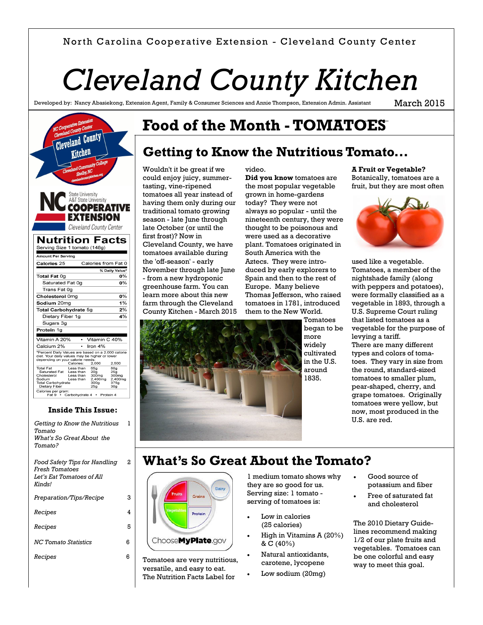#### North Carolina Cooperative Extension - Cleveland County Center

# *Cleveland County Kitchen*

Developed by: Nancy Abasiekong, Extension Agent, Family & Consumer Sciences and Annie Thompson, Extension Admin. Assistant

March 2015



#### **Inside This Issue:**

1

2

3 4

6 6

*Getting to Know the Nutritious Tomato What's So Great About the Tomato? Food Safety Tips for Handling Fresh Tomatoes Let's Eat Tomatoes of All Kinds! Preparation/Tips/Recipe Recipes Recipes* 5 *NC Tomato Statistics Recipes*

# **Food of the Month - TOMATOES**

video.

### **Getting to Know the Nutritious Tomato...**

Wouldn't it be great if we could enjoy juicy, summertasting, vine-ripened tomatoes all year instead of having them only during our traditional tomato growing season - late June through late October (or until the first frost)? Now in Cleveland County, we have tomatoes available during the 'off-season' - early November through late June - from a new hydroponic greenhouse farm. You can learn more about this new farm through the Cleveland County Kitchen - March 2015

**Did you know** tomatoes are the most popular vegetable grown in home-gardens today? They were not always so popular - until the nineteenth century, they were thought to be poisonous and were used as a decorative plant. Tomatoes originated in South America with the Aztecs. They were introduced by early explorers to Spain and then to the rest of Europe. Many believe Thomas Jefferson, who raised tomatoes in 1781, introduced them to the New World.

Tomatoes began to be more widely cultivated in the U.S. around 1835.

**A Fruit or Vegetable?**  Botanically, tomatoes are a fruit, but they are most often



used like a vegetable. Tomatoes, a member of the nightshade family (along with peppers and potatoes), were formally classified as a vegetable in 1893, through a U.S. Supreme Court ruling that listed tomatoes as a vegetable for the purpose of levying a tariff. There are many different types and colors of tomatoes. They vary in size from the round, standard-sized tomatoes to smaller plum, pear-shaped, cherry, and grape tomatoes. Originally tomatoes were yellow, but now, most produced in the U.S. are red.

### **What's So Great About the Tomato?**

|                   | Dairy             |
|-------------------|-------------------|
| <b>Fruits</b>     | <b>Grains</b>     |
| <b>Vegetables</b> | Protein           |
|                   |                   |
|                   | ChooseMyPlate.gov |

Tomatoes are very nutritious, versatile, and easy to eat. The Nutrition Facts Label for

1 medium tomato shows why they are so good for us. Serving size: 1 tomato serving of tomatoes is:

- Low in calories (25 calories)
- High in Vitamins A (20%) & C (40%)
- Natural antioxidants, carotene, lycopene
- Low sodium (20mg)
- Good source of potassium and fiber
- Free of saturated fat and cholesterol

The 2010 Dietary Guidelines recommend making 1/2 of our plate fruits and vegetables. Tomatoes can be one colorful and easy way to meet this goal.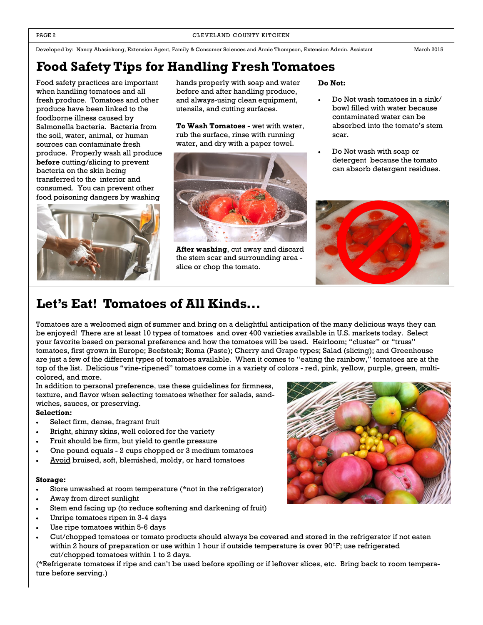Developed by: Nancy Abasiekong, Extension Agent, Family & Consumer Sciences and Annie Thompson, Extension Admin. Assistant March 2015

**Food Safety Tips for Handling Fresh Tomatoes**

Food safety practices are important when handling tomatoes and all fresh produce. Tomatoes and other produce have been linked to the foodborne illness caused by Salmonella bacteria. Bacteria from the soil, water, animal, or human sources can contaminate fresh produce. Properly wash all produce **before** cutting/slicing to prevent bacteria on the skin being transferred to the interior and consumed. You can prevent other food poisoning dangers by washing



hands properly with soap and water before and after handling produce, and always-using clean equipment, utensils, and cutting surfaces.

**To Wash Tomatoes** - wet with water, rub the surface, rinse with running water, and dry with a paper towel.



**After washing**, cut away and discard the stem scar and surrounding area slice or chop the tomato.

**Do Not:**

- Do Not wash tomatoes in a sink/ bowl filled with water because contaminated water can be absorbed into the tomato's stem scar.
- Do Not wash with soap or detergent because the tomato can absorb detergent residues.



### **Let's Eat! Tomatoes of All Kinds...**

Tomatoes are a welcomed sign of summer and bring on a delightful anticipation of the many delicious ways they can be enjoyed! There are at least 10 types of tomatoes and over 400 varieties available in U.S. markets today. Select your favorite based on personal preference and how the tomatoes will be used. Heirloom; "cluster" or "truss" tomatoes, first grown in Europe; Beefsteak; Roma (Paste); Cherry and Grape types; Salad (slicing); and Greenhouse are just a few of the different types of tomatoes available. When it comes to "eating the rainbow," tomatoes are at the top of the list. Delicious "vine-ripened" tomatoes come in a variety of colors - red, pink, yellow, purple, green, multicolored, and more.

In addition to personal preference, use these guidelines for firmness, texture, and flavor when selecting tomatoes whether for salads, sandwiches, sauces, or preserving.

#### **Selection:**

- Select firm, dense, fragrant fruit
- Bright, shinny skins, well colored for the variety
- Fruit should be firm, but yield to gentle pressure
- One pound equals 2 cups chopped or 3 medium tomatoes
- Avoid bruised, soft, blemished, moldy, or hard tomatoes

#### **Storage:**

- Store unwashed at room temperature (\*not in the refrigerator)
- Away from direct sunlight
- Stem end facing up (to reduce softening and darkening of fruit)
- Unripe tomatoes ripen in 3-4 days
- Use ripe tomatoes within 5-6 days
- Cut/chopped tomatoes or tomato products should always be covered and stored in the refrigerator if not eaten within 2 hours of preparation or use within 1 hour if outside temperature is over 90°F; use refrigerated cut/chopped tomatoes within 1 to 2 days.

(\*Refrigerate tomatoes if ripe and can't be used before spoiling or if leftover slices, etc. Bring back to room temperature before serving.)

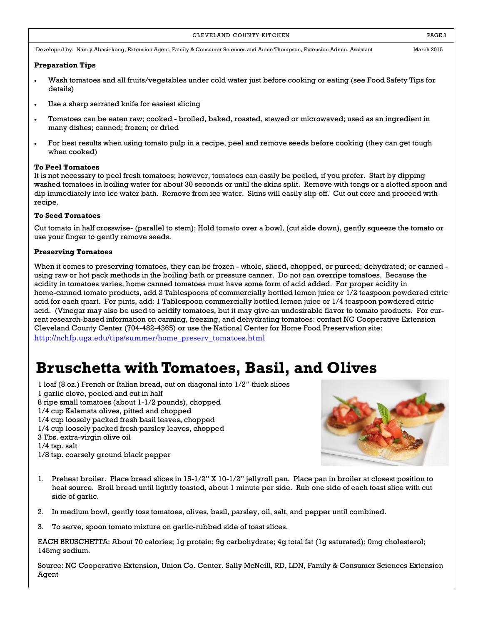#### CLEVELAND COUNTY KITCHEN **EXECUTE A RESISTENT COUNTY KITCHEN**

Developed by: Nancy Abasiekong, Extension Agent, Family & Consumer Sciences and Annie Thompson, Extension Admin. Assistant March 2015

#### **Preparation Tips**

- Wash tomatoes and all fruits/vegetables under cold water just before cooking or eating (see Food Safety Tips for details)
- Use a sharp serrated knife for easiest slicing
- Tomatoes can be eaten raw; cooked broiled, baked, roasted, stewed or microwaved; used as an ingredient in many dishes; canned; frozen; or dried
- For best results when using tomato pulp in a recipe, peel and remove seeds before cooking (they can get tough when cooked)

#### **To Peel Tomatoes**

It is not necessary to peel fresh tomatoes; however, tomatoes can easily be peeled, if you prefer. Start by dipping washed tomatoes in boiling water for about 30 seconds or until the skins split. Remove with tongs or a slotted spoon and dip immediately into ice water bath. Remove from ice water. Skins will easily slip off. Cut out core and proceed with recipe.

#### **To Seed Tomatoes**

Cut tomato in half crosswise- (parallel to stem); Hold tomato over a bowl, (cut side down), gently squeeze the tomato or use your finger to gently remove seeds.

#### **Preserving Tomatoes**

When it comes to preserving tomatoes, they can be frozen - whole, sliced, chopped, or pureed; dehydrated; or canned using raw or hot pack methods in the boiling bath or pressure canner. Do not can overripe tomatoes. Because the acidity in tomatoes varies, home canned tomatoes must have some form of acid added. For proper acidity in home-canned tomato products, add 2 Tablespoons of commercially bottled lemon juice or 1/2 teaspoon powdered citric acid for each quart. For pints, add: 1 Tablespoon commercially bottled lemon juice or 1/4 teaspoon powdered citric acid. (Vinegar may also be used to acidify tomatoes, but it may give an undesirable flavor to tomato products. For current research-based information on canning, freezing, and dehydrating tomatoes: contact NC Cooperative Extension Cleveland County Center (704-482-4365) or use the National Center for Home Food Preservation site:

[http://nchfp.uga.edu/tips/summer/home\\_preserv\\_tomatoes.html](http://nchfp.uga.edu/tips/summer/home_preserv_tomatoes.html)

### **Bruschetta with Tomatoes, Basil, and Olives**

- 1 loaf (8 oz.) French or Italian bread, cut on diagonal into 1/2" thick slices
- 1 garlic clove, peeled and cut in half
- 8 ripe small tomatoes (about 1-1/2 pounds), chopped
- 1/4 cup Kalamata olives, pitted and chopped
- 1/4 cup loosely packed fresh basil leaves, chopped
- 1/4 cup loosely packed fresh parsley leaves, chopped
- 3 Tbs. extra-virgin olive oil
- 1/4 tsp. salt
- 1/8 tsp. coarsely ground black pepper



- 1. Preheat broiler. Place bread slices in 15-1/2" X 10-1/2" jellyroll pan. Place pan in broiler at closest position to heat source. Broil bread until lightly toasted, about 1 minute per side. Rub one side of each toast slice with cut side of garlic.
- 2. In medium bowl, gently toss tomatoes, olives, basil, parsley, oil, salt, and pepper until combined.
- 3. To serve, spoon tomato mixture on garlic-rubbed side of toast slices.

EACH BRUSCHETTA: About 70 calories; 1g protein; 9g carbohydrate; 4g total fat (1g saturated); 0mg cholesterol; 145mg sodium.

Source: NC Cooperative Extension, Union Co. Center. Sally McNeill, RD, LDN, Family & Consumer Sciences Extension Agent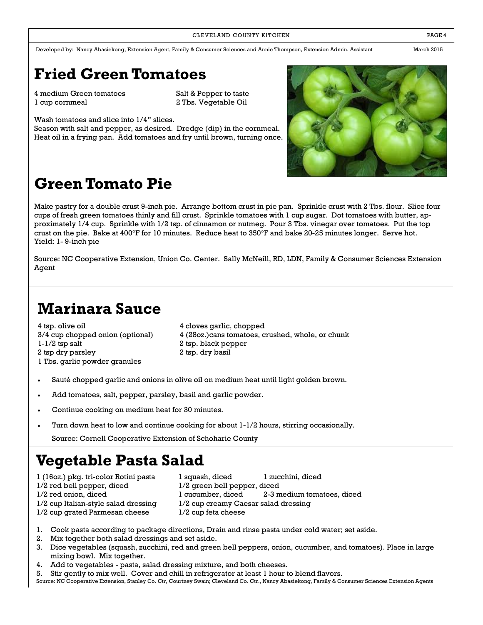Developed by: Nancy Abasiekong, Extension Agent, Family & Consumer Sciences and Annie Thompson, Extension Admin. Assistant March 2015

# **Fried Green Tomatoes**

4 medium Green tomatoes Salt & Pepper to taste 1 cup cornmeal 2 Tbs. Vegetable Oil

Wash tomatoes and slice into 1/4" slices.

Season with salt and pepper, as desired. Dredge (dip) in the cornmeal. Heat oil in a frying pan. Add tomatoes and fry until brown, turning once.



# **Green Tomato Pie**

Make pastry for a double crust 9-inch pie. Arrange bottom crust in pie pan. Sprinkle crust with 2 Tbs. flour. Slice four cups of fresh green tomatoes thinly and fill crust. Sprinkle tomatoes with 1 cup sugar. Dot tomatoes with butter, approximately 1/4 cup. Sprinkle with 1/2 tsp. of cinnamon or nutmeg. Pour 3 Tbs. vinegar over tomatoes. Put the top crust on the pie. Bake at 400°F for 10 minutes. Reduce heat to 350°F and bake 20-25 minutes longer. Serve hot. Yield: 1- 9-inch pie

Source: NC Cooperative Extension, Union Co. Center. Sally McNeill, RD, LDN, Family & Consumer Sciences Extension Agent

# **Marinara Sauce**

4 tsp. olive oil 4 cloves garlic, chopped 1-1/2 tsp salt 2 tsp. black pepper 2 tsp dry parsley 2 tsp. dry basil 1 Tbs. garlic powder granules

3/4 cup chopped onion (optional) 4 (28oz.)cans tomatoes, crushed, whole, or chunk

- Sauté chopped garlic and onions in olive oil on medium heat until light golden brown.
- Add tomatoes, salt, pepper, parsley, basil and garlic powder.
- Continue cooking on medium heat for 30 minutes.
- Turn down heat to low and continue cooking for about 1-1/2 hours, stirring occasionally.

Source: Cornell Cooperative Extension of Schoharie County

### **Vegetable Pasta Salad**

- 1 (16oz.) pkg. tri-color Rotini pasta 1 squash, diced 1 zucchini, diced 1/2 red bell pepper, diced 1/2 green bell pepper, diced 1/2 cup Italian-style salad dressing 1/2 cup creamy Caesar salad dressing 1/2 cup grated Parmesan cheese 1/2 cup feta cheese
- 1/2 red onion, diced 1 cucumber, diced 2-3 medium tomatoes, diced
	-
- -
- 1. Cook pasta according to package directions, Drain and rinse pasta under cold water; set aside.
- 2. Mix together both salad dressings and set aside.
- 3. Dice vegetables (squash, zucchini, red and green bell peppers, onion, cucumber, and tomatoes). Place in large mixing bowl. Mix together.
- 4. Add to vegetables pasta, salad dressing mixture, and both cheeses.
- 5. Stir gently to mix well. Cover and chill in refrigerator at least 1 hour to blend flavors.

Source: NC Cooperative Extension, Stanley Co. Ctr, Courtney Swain; Cleveland Co. Ctr., Nancy Abasiekong, Family & Consumer Sciences Extension Agents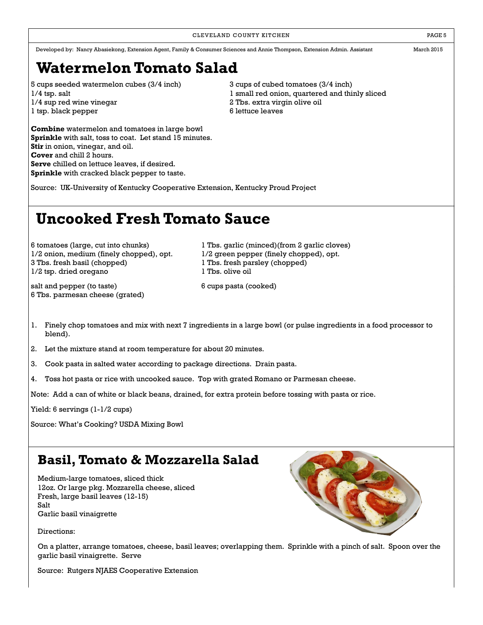CLEVELAND COUNTY KITCHEN **EXECUTE A RESE** 5

Developed by: Nancy Abasiekong, Extension Agent, Family & Consumer Sciences and Annie Thompson, Extension Admin. Assistant March 2015

## **Watermelon Tomato Salad**

5 cups seeded watermelon cubes (3/4 inch) 3 cups of cubed tomatoes (3/4 inch) 1/4 sup red wine vinegar 2 Tbs. extra virgin olive oil 1 tsp. black pepper 6 lettuce leaves

**Combine** watermelon and tomatoes in large bowl **Sprinkle** with salt, toss to coat. Let stand 15 minutes. **Stir** in onion, vinegar, and oil. **Cover** and chill 2 hours. **Serve** chilled on lettuce leaves, if desired. **Sprinkle** with cracked black pepper to taste.

1/4 tsp. salt 1 small red onion, quartered and thinly sliced

Source: UK-University of Kentucky Cooperative Extension, Kentucky Proud Project

# **Uncooked Fresh Tomato Sauce**

 $1/2$  onion, medium (finely chopped), opt.  $1/2$  green pepper (finely chopped), opt. 3 Tbs. fresh basil (chopped) 1 Tbs. fresh parsley (chopped) 1/2 tsp. dried oregano 1 Tbs. olive oil

salt and pepper (to taste) 6 cups pasta (cooked) 6 Tbs. parmesan cheese (grated)

6 tomatoes (large, cut into chunks) 1 Tbs. garlic (minced)(from 2 garlic cloves)

- 1. Finely chop tomatoes and mix with next 7 ingredients in a large bowl (or pulse ingredients in a food processor to blend).
- 2. Let the mixture stand at room temperature for about 20 minutes.
- 3. Cook pasta in salted water according to package directions. Drain pasta.
- 4. Toss hot pasta or rice with uncooked sauce. Top with grated Romano or Parmesan cheese.

Note: Add a can of white or black beans, drained, for extra protein before tossing with pasta or rice.

Yield: 6 servings (1-1/2 cups)

Source: What's Cooking? USDA Mixing Bowl

### **Basil, Tomato & Mozzarella Salad**

Medium-large tomatoes, sliced thick 12oz. Or large pkg. Mozzarella cheese, sliced Fresh, large basil leaves (12-15) Salt Garlic basil vinaigrette

Directions:

On a platter, arrange tomatoes, cheese, basil leaves; overlapping them. Sprinkle with a pinch of salt. Spoon over the garlic basil vinaigrette. Serve

Source: Rutgers NJAES Cooperative Extension